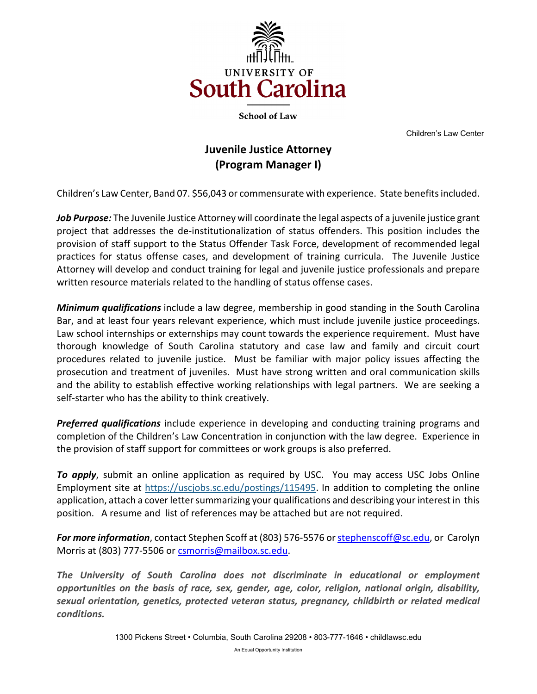

**School of Law** 

Children's Law Center

## **Juvenile Justice Attorney (Program Manager I)**

Children's Law Center, Band 07. \$56,043 or commensurate with experience. State benefits included.

*Job Purpose:* The Juvenile Justice Attorney will coordinate the legal aspects of a juvenile justice grant project that addresses the de-institutionalization of status offenders. This position includes the provision of staff support to the Status Offender Task Force, development of recommended legal practices for status offense cases, and development of training curricula. The Juvenile Justice Attorney will develop and conduct training for legal and juvenile justice professionals and prepare written resource materials related to the handling of status offense cases.

*Minimum qualifications* include a law degree, membership in good standing in the South Carolina Bar, and at least four years relevant experience, which must include juvenile justice proceedings. Law school internships or externships may count towards the experience requirement. Must have thorough knowledge of South Carolina statutory and case law and family and circuit court procedures related to juvenile justice. Must be familiar with major policy issues affecting the prosecution and treatment of juveniles. Must have strong written and oral communication skills and the ability to establish effective working relationships with legal partners. We are seeking a self-starter who has the ability to think creatively.

*Preferred qualifications* include experience in developing and conducting training programs and completion of the Children's Law Concentration in conjunction with the law degree. Experience in the provision of staff support for committees or work groups is also preferred.

*To apply*, submit an online application as required by USC. You may access USC Jobs Online Employment site at [https://uscjobs.sc.edu/postings/115495.](https://uscjobs.sc.edu/postings/115495) In addition to completing the online application, attach a cover letter summarizing your qualifications and describing your interest in this position. A resume and list of references may be attached but are not required.

*For more information*, contact Stephen Scoff at (803) 576-5576 or [stephenscoff@sc.edu,](mailto:stephenscoff@sc.edu) or Carolyn Morris at (803) 777-5506 or [csmorris@mailbox.sc.edu.](mailto:csmorris@mailbox.sc.edu)

*The University of South Carolina does not discriminate in educational or employment opportunities on the basis of race, sex, gender, age, color, religion, national origin, disability, sexual orientation, genetics, protected veteran status, pregnancy, childbirth or related medical conditions.*

An Equal Opportunity Institution